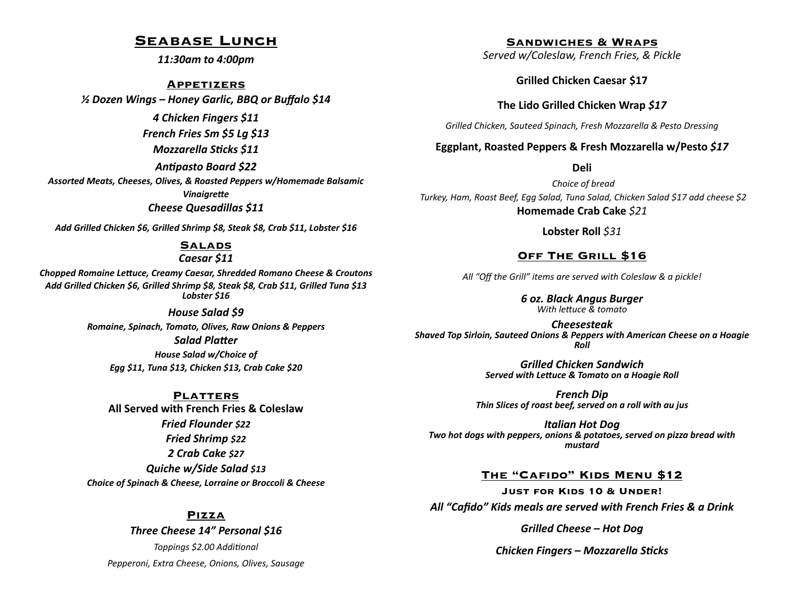## **Seabase Lunch**

*11:30am to 4:00pm*

#### **Appetizers**

*½ Dozen Wings – Honey Garlic, BBQ or Buffalo \$14*

*4 Chicken Fingers \$11*

*French Fries Sm \$5 Lg \$13*

*Mozzarella Sticks \$11*

*Antipasto Board \$22*

*Assorted Meats, Cheeses, Olives, & Roasted Peppers w/Homemade Balsamic Vinaigrette Cheese Quesadillas \$11*

*Add Grilled Chicken \$6, Grilled Shrimp \$8, Steak \$8, Crab \$11, Lobster \$16*

#### **Salads**

#### *Caesar \$11*

*Chopped Romaine Lettuce, Creamy Caesar, Shredded Romano Cheese & Croutons Add Grilled Chicken \$6, Grilled Shrimp \$8, Steak \$8, Crab \$11, Grilled Tuna \$13 Lobster \$16*

#### *House Salad \$9*

*Romaine, Spinach, Tomato, Olives, Raw Onions & Peppers Salad Platter House Salad w/Choice of Egg \$11, Tuna \$13, Chicken \$13, Crab Cake \$20*

**Platters All Served with French Fries & Coleslaw**  *Fried Flounder \$22 Fried Shrimp \$22 2 Crab Cake \$27 Quiche w/Side Salad \$13 Choice of Spinach & Cheese, Lorraine or Broccoli & Cheese*

### **Pizza**

*Three Cheese 14" Personal \$16 Toppings \$2.00 Additional Pepperoni, Extra Cheese, Onions, Olives, Sausage* **Sandwiches & Wraps**

*Served w/Coleslaw, French Fries, & Pickle*

**Grilled Chicken Caesar \$17**

**The Lido Grilled Chicken Wrap** *\$17* 

*Grilled Chicken, Sauteed Spinach, Fresh Mozzarella & Pesto Dressing*

### **Eggplant, Roasted Peppers & Fresh Mozzarella w/Pesto** *\$17*

**Deli** 

*Choice of bread Turkey, Ham, Roast Beef, Egg Salad, Tuna Salad, Chicken Salad \$17 add cheese \$2* **Homemade Crab Cake** *\$21*

**Lobster Roll** *\$31*

### **Off The Grill \$16**

*All "Off the Grill" items are served with Coleslaw & a pickle!*

*6 oz. Black Angus Burger With lettuce & tomato*

*Cheesesteak Shaved Top Sirloin, Sauteed Onions & Peppers with American Cheese on a Hoagie Roll*

> *Grilled Chicken Sandwich Served with Lettuce & Tomato on a Hoagie Roll*

*French Dip Thin Slices of roast beef, served on a roll with au jus*

*Italian Hot Dog Two hot dogs with peppers, onions & potatoes, served on pizza bread with mustard* 

### **The "Cafido" Kids Menu \$12**

**Just for Kids 10 & Under!** *All "Cafido" Kids meals are served with French Fries & a Drink*

*Grilled Cheese – Hot Dog*

*Chicken Fingers – Mozzarella Sticks*